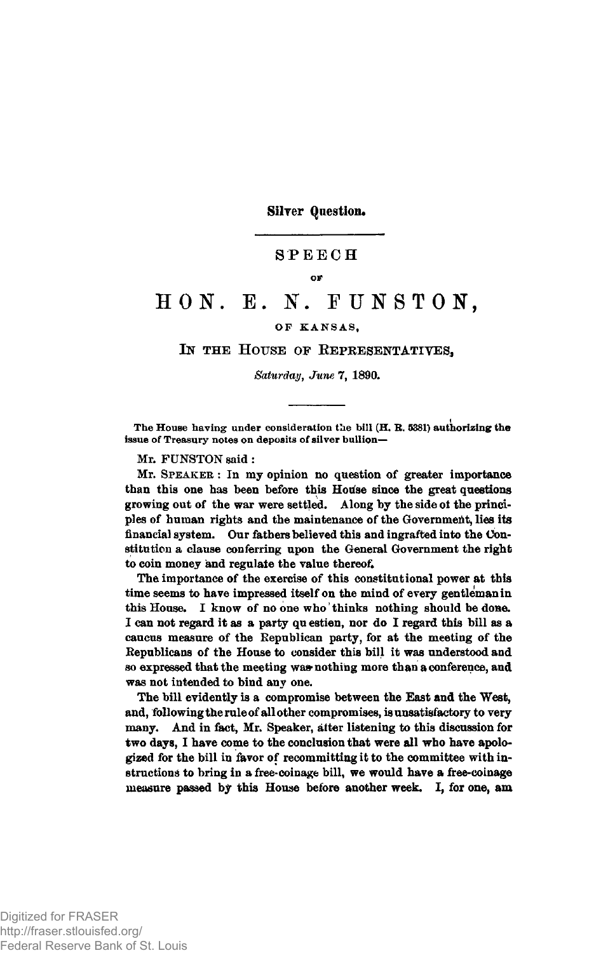Silver Question.

### **SPEECH**

#### **OF**

# **H O N . E. N. F U N S T O N ,**

### OP KANSAS,

## IN THE HOUSE OF REPRESENTATIVES,

*Saturday***,** *June* **7, 1890.**

**i** The House having under consideration the bill (H. R. 5381) authorizing the issue of Treasury notes on deposits of silver bullion—

**Mr. FUNSTON said:**

**Mr. S peak er : In my opinion no question of greater importance** than this one has been before this House since the great questions **growing out of the war were settled. Along by the side ot the principles of human rights and the maintenance of the Government, lies its financial system. Our fathers believed this and ingrafted into the Constitution a clause conferring upon the General Government the right to coin money and regulate the value thereof.**

**The importance of the exercise of this constitutional power at this time seems to have impressed itself on the mind of every gentleman in this House. I know of no one who' thinks nothing should be done. I can not regard it as a party qu estien, nor do I regard this bill as a caucus measure of the Republican party, for at the meeting of the Republicans of the House to consider this bill it was understood and so expressed that the meeting was\* nothing more than a conference, and was not intended to bind any one.**

**The bill evidently is a compromise between the East and the West, and, following the rule of all other compromises, is unsatisfactory to very many. And in fact, Mr. Speaker, alter listening to this discussion for two days, I have come to the conclusion that were all who have apologized for the bill in favor of recommitting it to the committee with instructions to bring in a free-coinage bill, we would have a free-coinage measure passed** by **this House before another week. I, for one, am**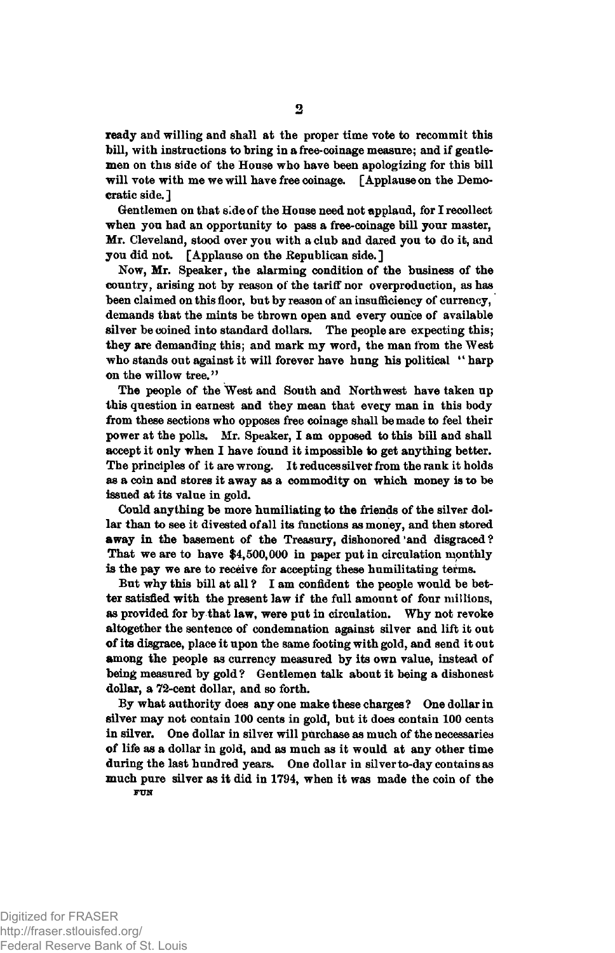**ready and willing and shall at the proper time vote to recommit this bill, with instructions to bring in a free-coinage measure; and if gentlemen on this side of the House who have been apologizing for this bill will vote with me we will have free coinage. [Applause on the Democratic side.]**

**Gentlemen on that side of the House need not applaud, for I recollect when you had an opportunity to pass a free-coinage bill your master, Mr. Cleveland, stood over you with a club and dared you to do it, and you did not. [Applause on the Republican side. ]**

**Now, Mr. Speaker, the alarming condition of the business of the country, arising not by reason of the tariff nor overproduction, as has been claimed on this floor, but by reason of an insufficiency of currency, demands that the mints be thrown open and every ounce of available silver be coined into standard dollars. The people are expecting this; they are demanding this; and mark my word, the man from the West** who stands out against it will forever have hung his political "harp **on the willow tree."**

**The people of the West and South and Northwest have taken up this question in earnest and they mean that evecy man in this body from these sections who opposes free coinage shall be made to feel their power at the polls. Mr. Speaker, I am opposed to this bill and shall accept it only when I have found it impossible to get anything better. The principles of it are wrong. It reduces silvef from the rank it holds as a coin and stores it away as a commodity on which money is to be issued at its value in gold.**

**Could anything be more humiliating to the friends of the silver dollar than to see it divested of all its functions as money, and then stored away in the basement of the Treasury, dishonored 'and disgraced ? That we are to have \$4,500,000 in paper putin circulation monthly is the pay we are to receive for accepting these humilitating terms.**

**But why this bill at all ? I am confident the people would be better satisfied with the present law if the full amount of four millions, as provided for by that law, were put in circulation. Why not revoke altogether the sentence of condemnation against silver and lift it out of its disgrace, place it upon the same footing with gold, and send it out among the people as currency measured by its own value, instead of being measured by gold? Gentlemen talk about it being a dishonest dollar, a 72-cent dollar, and so forth.**

**By what authority does any one make these charges ? One dollar in silver may not contain 100 cents in gold, but it does contain 100 cents in silver. One dollar in silver will purchase as much of the necessaries of life as a dollar in gold, and as much as it would at any other time during the last hundred years. One dollar in silver to-day contains as much pure silver as it did in 1794, when it was made the coin of the FUN**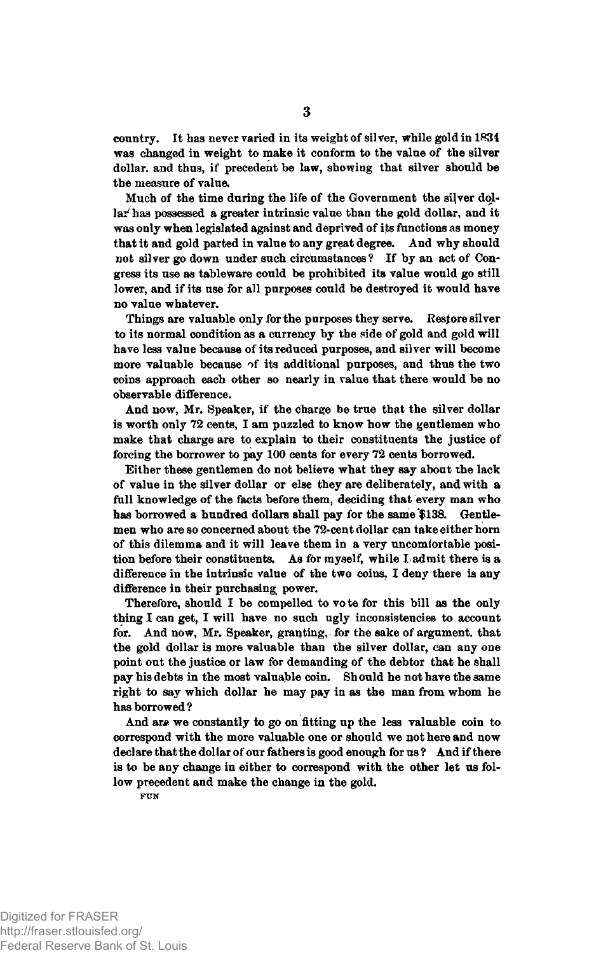**country. It has never varied in its weight of silver, while gold in 1834 was changed in weight to make it conform to the value of the silver dollar, and thus, if precedent be law, showing that silver should be the measure of value.**

**Much of the time during the life of the Government the silver dollar^ has possessed a greater intrinsic value than the gold dollar, and it was only when legislated against and deprived of its functions as money that it and gold parted in value to any great degree. And why should not silver go down under such circumstances? If by an act of Congress its use as tableware could be prohibited its value would go still lower, and if its use for all purposes could be destroyed it would have no value whatever.**

**Things are valuable only for the purposes they serve. Restore silver to its normal condition as a currency by the side of gold and gold will have less value because of its reduced purposes, and silver will become more valuable because of its additional purposes, and thus the two coins approach each other so nearly in value that there would be no observable difference.**

**And now, Mr. Speaker, if the charge be true that the silver dollar is worth only 72 cents, I am puzzled to know how the gentlemen who make that charge are to explain to their constituents the justice of forcing the borrower to pay 100 cents for every 72 cents borrowed.**

**Either these gentlemen do not believe what they say about the lack of value in the silver dollar or else they are deliberately, and with a full knowledge of the facts before them, deciding that every man who** has borrowed a hundred dollars shall pay for the same \$138. Gentle**men who are so concerned about the 72-cent dollar can take either horn of this dilemma and it will leave them in a very uncomfortable position before their constituents. As for myself, while I admit there is a difference in the intrinsic value of the two coins, I deny there is any difference in their purchasing power.**

**Therefore, should I be compelled to vo te for this bill as the only thing I can get, I will have no such ugly inconsistencies to account for. And now, Mr. Speaker, granting, for the sake of argument, that the gold dollar is more valuable than the silver dollar, can any one point out the justice or law for demanding of the debtor that he shall pay his debts in the most valuable coin. Should he not have the same right to say which dollar he may pay in as the man from whom he has borrowed?**

**And are we constantly to go on fitting up the less valuable coin to correspond with the more valuable one or should we not here and now declare that the dollar of our fathers is good enough for us ? And if there is to be any change in either to correspond with the other let us follow precedent and make the change in the gold.**

**FUN**

Digitized for FRASER http://fraser.stlouisfed.org/ Federal Reserve Bank of St. Louis